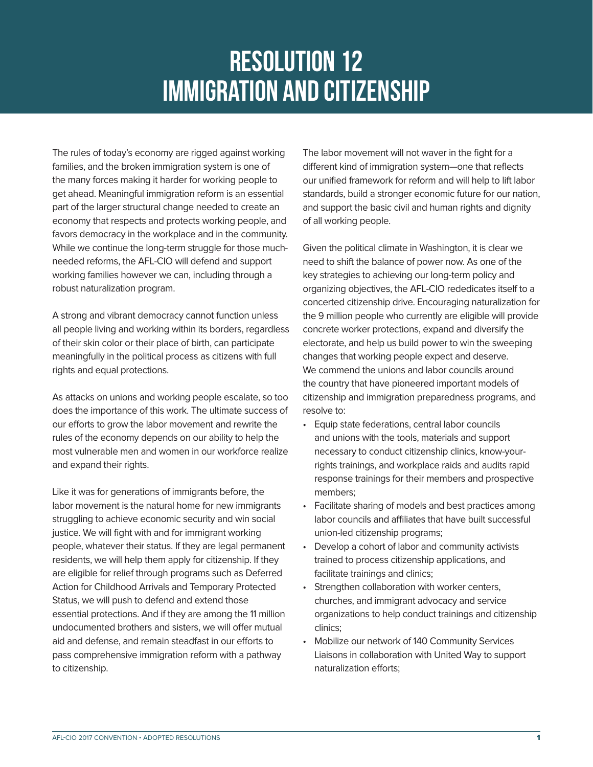## Resolution 12 IMMIGRATION AND CITIZENSHIP

The rules of today's economy are rigged against working families, and the broken immigration system is one of the many forces making it harder for working people to get ahead. Meaningful immigration reform is an essential part of the larger structural change needed to create an economy that respects and protects working people, and favors democracy in the workplace and in the community. While we continue the long-term struggle for those muchneeded reforms, the AFL-CIO will defend and support working families however we can, including through a robust naturalization program.

A strong and vibrant democracy cannot function unless all people living and working within its borders, regardless of their skin color or their place of birth, can participate meaningfully in the political process as citizens with full rights and equal protections.

As attacks on unions and working people escalate, so too does the importance of this work. The ultimate success of our efforts to grow the labor movement and rewrite the rules of the economy depends on our ability to help the most vulnerable men and women in our workforce realize and expand their rights.

Like it was for generations of immigrants before, the labor movement is the natural home for new immigrants struggling to achieve economic security and win social justice. We will fight with and for immigrant working people, whatever their status. If they are legal permanent residents, we will help them apply for citizenship. If they are eligible for relief through programs such as Deferred Action for Childhood Arrivals and Temporary Protected Status, we will push to defend and extend those essential protections. And if they are among the 11 million undocumented brothers and sisters, we will offer mutual aid and defense, and remain steadfast in our efforts to pass comprehensive immigration reform with a pathway to citizenship.

The labor movement will not waver in the fight for a different kind of immigration system—one that reflects our unified framework for reform and will help to lift labor standards, build a stronger economic future for our nation, and support the basic civil and human rights and dignity of all working people.

Given the political climate in Washington, it is clear we need to shift the balance of power now. As one of the key strategies to achieving our long-term policy and organizing objectives, the AFL-CIO rededicates itself to a concerted citizenship drive. Encouraging naturalization for the 9 million people who currently are eligible will provide concrete worker protections, expand and diversify the electorate, and help us build power to win the sweeping changes that working people expect and deserve. We commend the unions and labor councils around the country that have pioneered important models of citizenship and immigration preparedness programs, and resolve to:

- Equip state federations, central labor councils and unions with the tools, materials and support necessary to conduct citizenship clinics, know-yourrights trainings, and workplace raids and audits rapid response trainings for their members and prospective members;
- Facilitate sharing of models and best practices among labor councils and affiliates that have built successful union-led citizenship programs;
- Develop a cohort of labor and community activists trained to process citizenship applications, and facilitate trainings and clinics;
- Strengthen collaboration with worker centers, churches, and immigrant advocacy and service organizations to help conduct trainings and citizenship clinics;
- Mobilize our network of 140 Community Services Liaisons in collaboration with United Way to support naturalization efforts;